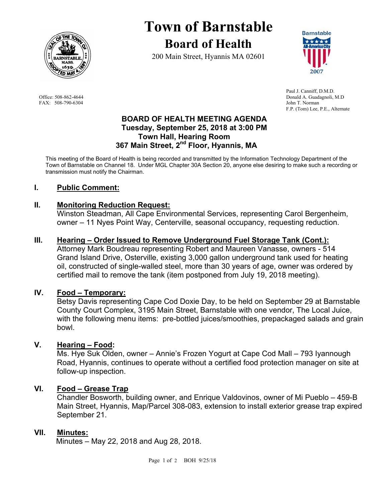

FAX: 508-790-6304 John T. Norman

# **Town of Barnstable Board of Health**

200 Main Street, Hyannis MA 02601



 Paul J. Canniff, D.M.D. Office: 508-862-4644 Donald A. Guadagnoli, M.D F.P. (Tom) Lee, P.E., Alternate

#### **BOARD OF HEALTH MEETING AGENDA Tuesday, September 25, 2018 at 3:00 PM Town Hall, Hearing Room 367 Main Street, 2nd Floor, Hyannis, MA**

This meeting of the Board of Health is being recorded and transmitted by the Information Technology Department of the Town of Barnstable on Channel 18. Under MGL Chapter 30A Section 20, anyone else desiring to make such a recording or transmission must notify the Chairman.

# **I. Public Comment:**

# **II. Monitoring Reduction Request:**

Winston Steadman, All Cape Environmental Services, representing Carol Bergenheim, owner – 11 Nyes Point Way, Centerville, seasonal occupancy, requesting reduction.

## **III. Hearing – Order Issued to Remove Underground Fuel Storage Tank (Cont.):**

Attorney Mark Boudreau representing Robert and Maureen Vanasse, owners - 514 Grand Island Drive, Osterville, existing 3,000 gallon underground tank used for heating oil, constructed of single-walled steel, more than 30 years of age, owner was ordered by certified mail to remove the tank (item postponed from July 19, 2018 meeting).

#### **IV. Food – Temporary:**

Betsy Davis representing Cape Cod Doxie Day, to be held on September 29 at Barnstable County Court Complex, 3195 Main Street, Barnstable with one vendor, The Local Juice, with the following menu items: pre-bottled juices/smoothies, prepackaged salads and grain bowl.

#### **V. Hearing – Food:**

Ms. Hye Suk Olden, owner – Annie's Frozen Yogurt at Cape Cod Mall – 793 Iyannough Road, Hyannis, continues to operate without a certified food protection manager on site at follow-up inspection.

# **VI. Food – Grease Trap**

Chandler Bosworth, building owner, and Enrique Valdovinos, owner of Mi Pueblo – 459-B Main Street, Hyannis, Map/Parcel 308-083, extension to install exterior grease trap expired September 21.

#### **VII. Minutes:**

Minutes – May 22, 2018 and Aug 28, 2018.